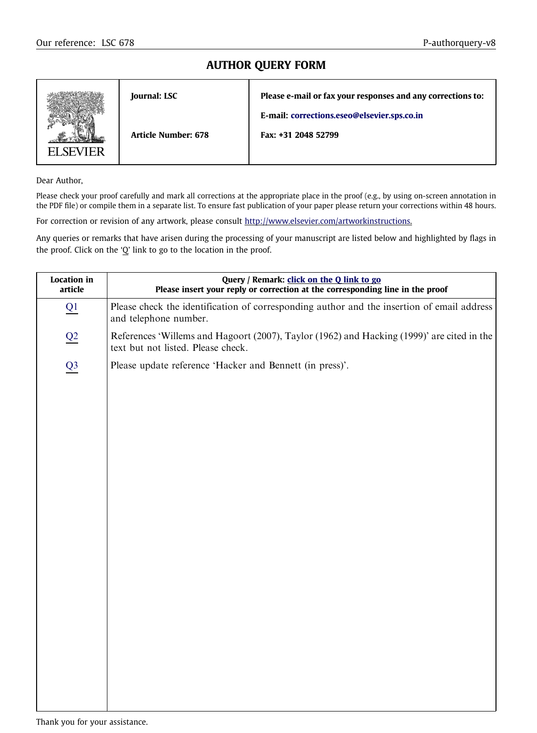### AUTHOR QUERY FORM

<span id="page-0-0"></span>

|                 | Journal: LSC               | Please e-mail or fax your responses and any corrections to:        |
|-----------------|----------------------------|--------------------------------------------------------------------|
|                 | <b>Article Number: 678</b> | E-mail: corrections.eseo@elsevier.sps.co.in<br>Fax: +31 2048 52799 |
| <b>ELSEVIER</b> |                            |                                                                    |

Dear Author,

Please check your proof carefully and mark all corrections at the appropriate place in the proof (e.g., by using on-screen annotation in the PDF file) or compile them in a separate list. To ensure fast publication of your paper please return your corrections within 48 hours.

For correction or revision of any artwork, please consult http://www.elsevier.com/artworkinstructions.

Any queries or remarks that have arisen during the processing of your manuscript are listed below and highlighted by flags in the proof. Click on the ' $Q$ ' link to go to the location in the proof.

| <b>Location</b> in<br>article | Query / Remark: click on the Q link to go<br>Please insert your reply or correction at the corresponding line in the proof       |  |
|-------------------------------|----------------------------------------------------------------------------------------------------------------------------------|--|
| Q1                            | Please check the identification of corresponding author and the insertion of email address<br>and telephone number.              |  |
| Q <sub>2</sub>                | References 'Willems and Hagoort (2007), Taylor (1962) and Hacking (1999)' are cited in the<br>text but not listed. Please check. |  |
| $Q_3$                         | Please update reference 'Hacker and Bennett (in press)'.                                                                         |  |
|                               |                                                                                                                                  |  |
|                               |                                                                                                                                  |  |
|                               |                                                                                                                                  |  |
|                               |                                                                                                                                  |  |
|                               |                                                                                                                                  |  |
|                               |                                                                                                                                  |  |
|                               |                                                                                                                                  |  |
|                               |                                                                                                                                  |  |
|                               |                                                                                                                                  |  |
|                               |                                                                                                                                  |  |
|                               |                                                                                                                                  |  |
|                               |                                                                                                                                  |  |

Thank you for your assistance.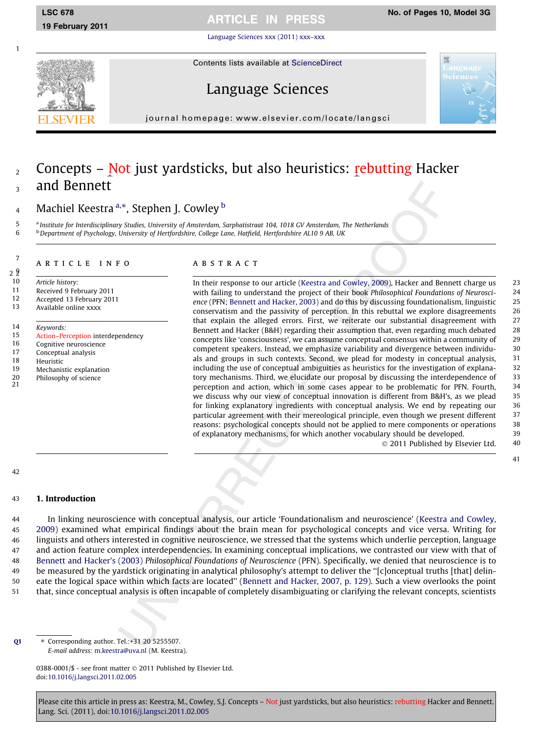[Language Sciences xxx \(2011\) xxx–xxx](http://dx.doi.org/10.1016/j.langsci.2011.02.005)

Contents lists available at [ScienceDirect](http://www.sciencedirect.com/science/journal/03880001)

<span id="page-1-0"></span>1



Language Sciences

journal homepage: [www.elsevier.com/locate/langsci](http://www.elsevier.com/locate/langsci)

### $2<sub>2</sub>$  Concepts – Not just yardsticks, but also heuristics: rebutting Hacker  $_3$  and Bennett

4 Machiel Keestra <sup>a,\*</sup>, Stephen J. Cowley <sup>b</sup>

<sup>5</sup> a Institute for Interdisciplinary Studies, University of Amsterdam, Sarphatistraat 104, 1018 GV Amsterdam, The Netherlands<br><sup>b</sup> Department of Psychology University of Hertfordshire, College Lane, Hatfield, Hertfordshire <sup>b</sup> Department of Psychology, University of Hertfordshire, College Lane, Hatfield, Hertfordshire AL10 9 AB, UK

#### article info

9 2 2 10 Article history:<br>11 Received 9 Fel 11 Received 9 February 2011<br>12 Accented 13 February 201

- 12 Accepted 13 February 2011
- 13 Available online xxxx
- 14 Keywords:<br>15 Action-Pe

7

- 15 Action–Perception interdependency<br>16 Cognitive neuroscience
- 16 Cognitive neuroscience<br>17 Concentual analysis
- 17 Conceptual analysis<br>18 Heuristic
- 18 Heuristic<br>19 Mechanis
- Mechanistic explanation
- Philosophy of science  $\frac{20}{21}$

#### **ABSTRACT**

In their response to our article [\(Keestra and Cowley, 2009\)](#page-8-0), Hacker and Bennett charge us 23 with failing to understand the project of their book Philosophical Foundations of Neurosci-<br>24 ence (PFN; [Bennett and Hacker, 2003\)](#page-8-0) and do this by discussing foundationalism, linguistic 25 conservatism and the passivity of perception. In this rebuttal we explore disagreements 26 that explain the alleged errors. First, we reiterate our substantial disagreement with 27 Bennett and Hacker (B&H) regarding their assumption that, even regarding much debated 28 concepts like 'consciousness', we can assume conceptual consensus within a community of 29 competent speakers. Instead, we emphasize variability and divergence between individu- 30 als and groups in such contexts. Second, we plead for modesty in conceptual analysis, 31 including the use of conceptual ambiguities as heuristics for the investigation of explana- 32 tory mechanisms. Third, we elucidate our proposal by discussing the interdependence of 33 perception and action, which in some cases appear to be problematic for PFN. Fourth, 34 we discuss why our view of conceptual innovation is different from B&H's, as we plead 35 for linking explanatory ingredients with conceptual analysis. We end by repeating our 36 particular agreement with their mereological principle, even though we present different 37 reasons: psychological concepts should not be applied to mere components or operations 38 of explanatory mechanisms, for which another vocabulary should be developed. 39 © 2011 Published by Elsevier Ltd. 40

41

#### 42

[Q1](#page-0-0)

#### 43 1. Introduction

 In linking neuroscience with conceptual analysis, our article 'Foundationalism and neuroscience' [\(Keestra and Cowley,](#page-8-0) [2009\)](#page-8-0) examined what empirical findings about the brain mean for psychological concepts and vice versa. Writing for linguists and others interested in cognitive neuroscience, we stressed that the systems which underlie perception, language and action feature complex interdependencies. In examining conceptual implications, we contrasted our view with that of [Bennett and Hacker's \(2003\)](#page-8-0) Philosophical Foundations of Neuroscience (PFN). Specifically, we denied that neuroscience is to be measured by the yardstick originating in analytical philosophy's attempt to deliver the ''[c]onceptual truths [that] delin- eate the logical space within which facts are located'' [\(Bennett and Hacker, 2007, p. 129](#page-8-0)). Such a view overlooks the point that, since conceptual analysis is often incapable of completely disambiguating or clarifying the relevant concepts, scientists

⇑ Corresponding author. Tel.:+31 20 5255507. E-mail address: [m.keestra@uva.nl](mailto:m.keestra@uva.nl) (M. Keestra).

0388-0001/\$ - see front matter © 2011 Published by Elsevier Ltd. doi:[10.1016/j.langsci.2011.02.005](http://dx.doi.org/10.1016/j.langsci.2011.02.005)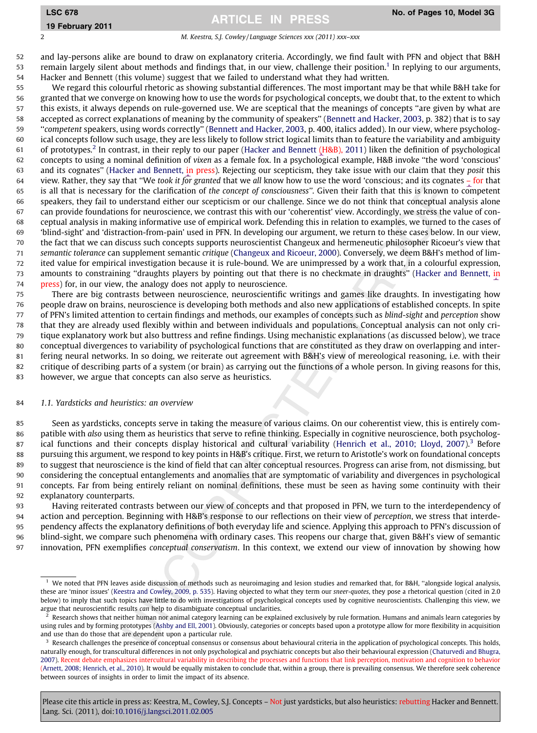M. Keestra, S.J. Cowley / Language Sciences xxx (2011) xxx–xxx

 and lay-persons alike are bound to draw on explanatory criteria. Accordingly, we find fault with PFN and object that B&H 53 remain largely silent about methods and findings that, in our view, challenge their position.<sup>1</sup> In replying to our arguments, Hacker and Bennett (this volume) suggest that we failed to understand what they had written.

 We regard this colourful rhetoric as showing substantial differences. The most important may be that while B&H take for granted that we converge on knowing how to use the words for psychological concepts, we doubt that, to the extent to which this exists, it always depends on rule-governed use. We are sceptical that the meanings of concepts ''are given by what are accepted as correct explanations of meaning by the community of speakers'' [\(Bennett and Hacker, 2003,](#page-8-0) p. 382) that is to say ''competent speakers, using words correctly'' ([Bennett and Hacker, 2003,](#page-8-0) p. 400, italics added). In our view, where psycholog- ical concepts follow such usage, they are less likely to follow strict logical limits than to feature the variability and ambiguity 61 of prototypes.<sup>2</sup> In contrast, in their reply to our paper ([Hacker and Bennett](#page-8-0) ( $\text{H&B}$ ), 2011) liken the definition of psychological concepts to using a nominal definition of vixen as a female fox. In a psychological example, H&B invoke ''the word 'conscious' 63 and its cognates" ([Hacker and Bennett,](#page-8-0) in press). Rejecting our scepticism, they take issue with our claim that they posit this 64 view. Rather, they say that "We took it for granted that we all know how to use the word 'conscious; and its cognates  $-$  for that is all that is necessary for the clarification of the concept of consciousness''. Given their faith that this is known to competent speakers, they fail to understand either our scepticism or our challenge. Since we do not think that conceptual analysis alone can provide foundations for neuroscience, we contrast this with our 'coherentist' view. Accordingly, we stress the value of con- ceptual analysis in making informative use of empirical work. Defending this in relation to examples, we turned to the cases of 'blind-sight' and 'distraction-from-pain' used in PFN. In developing our argument, we return to these cases below. In our view, the fact that we can discuss such concepts supports neuroscientist Changeux and hermeneutic philosopher Ricoeur's view that semantic tolerance can supplement semantic critique [\(Changeux and Ricoeur, 2000](#page-8-0)). Conversely, we deem B&H's method of lim- ited value for empirical investigation because it is rule-bound. We are unimpressed by a work that, in a colourful expression, 73 amounts to constraining "draughts players by pointing out that there is no checkmate in draughts" [\(Hacker and Bennett,](#page-8-0) in [press](#page-8-0)) for, in our view, the analogy does not apply to neuroscience.

 There are big contrasts between neuroscience, neuroscientific writings and games like draughts. In investigating how people draw on brains, neuroscience is developing both methods and also new applications of established concepts. In spite 77 of PFN's limited attention to certain findings and methods, our examples of concepts such as blind-sight and perception show that they are already used flexibly within and between individuals and populations. Conceptual analysis can not only cri- tique explanatory work but also buttress and refine findings. Using mechanistic explanations (as discussed below), we trace conceptual divergences to variability of psychological functions that are constituted as they draw on overlapping and inter- fering neural networks. In so doing, we reiterate out agreement with B&H's view of mereological reasoning, i.e. with their critique of describing parts of a system (or brain) as carrying out the functions of a whole person. In giving reasons for this, however, we argue that concepts can also serve as heuristics.

### 1.1. Yardsticks and heuristics: an overview

 Seen as yardsticks, concepts serve in taking the measure of various claims. On our coherentist view, this is entirely com-86 patible with also using them as heuristics that serve to refine thinking. Especially in cognitive neuroscience, both psycholog-87 ical functions and their concepts display historical and cultural variability [\(Henrich et al., 2010; Lloyd, 2007\)](#page-8-0).<sup>3</sup> Before pursuing this argument, we respond to key points in H&B's critique. First, we return to Aristotle's work on foundational concepts to suggest that neuroscience is the kind of field that can alter conceptual resources. Progress can arise from, not dismissing, but considering the conceptual entanglements and anomalies that are symptomatic of variability and divergences in psychological concepts. Far from being entirely reliant on nominal definitions, these must be seen as having some continuity with their explanatory counterparts.

 Having reiterated contrasts between our view of concepts and that proposed in PFN, we turn to the interdependency of 94 action and perception. Beginning with H&B's response to our reflections on their view of perception, we stress that interde- pendency affects the explanatory definitions of both everyday life and science. Applying this approach to PFN's discussion of blind-sight, we compare such phenomena with ordinary cases. This reopens our charge that, given B&H's view of semantic 97 innovation, PFN exemplifies conceptual conservatism. In this context, we extend our view of innovation by showing how

 We noted that PFN leaves aside discussion of methods such as neuroimaging and lesion studies and remarked that, for B&H, ''alongside logical analysis, these are 'minor issues' [\(Keestra and Cowley, 2009, p. 535\)](#page-8-0). Having objected to what they term our sneer-quotes, they pose a rhetorical question (cited in 2.0 below) to imply that such topics have little to do with investigations of psychological concepts used by cognitive neuroscientists. Challenging this view, we argue that neuroscientific results can help to disambiguate conceptual unclarities.

 Research shows that neither human nor animal category learning can be explained exclusively by rule formation. Humans and animals learn categories by using rules and by forming prototypes ([Ashby and Ell, 2001\)](#page-8-0). Obviously, categories or concepts based upon a prototype allow for more flexibility in acquisition and use than do those that are dependent upon a particular rule.

<sup>&</sup>lt;sup>3</sup> Research challenges the presence of conceptual consensus or consensus about behavioural criteria in the application of psychological concepts. This holds, naturally enough, for transcultural differences in not only psychological and psychiatric concepts but also their behavioural expression ([Chaturvedi and Bhugra,](#page-8-0) [2007\)](#page-8-0). Recent debate emphasizes intercultural variability in describing the processes and functions that link perception, motivation and cognition to behavior ([Arnett, 2008; Henrich, et al., 2010\)](#page-8-0). It would be equally mistaken to conclude that, within a group, there is prevailing consensus. We therefore seek coherence between sources of insights in order to limit the impact of its absence.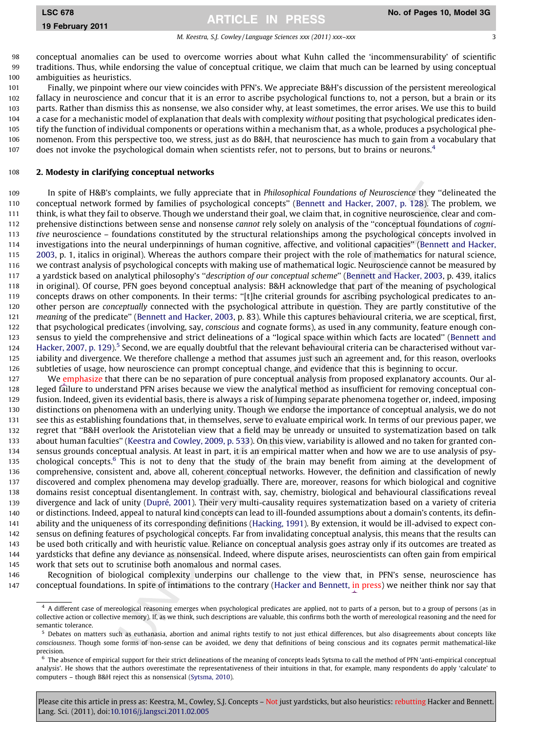M. Keestra, S.J. Cowley / Language Sciences xxx (2011) xxx–xxx 3

 conceptual anomalies can be used to overcome worries about what Kuhn called the 'incommensurability' of scientific traditions. Thus, while endorsing the value of conceptual critique, we claim that much can be learned by using conceptual ambiguities as heuristics.

 Finally, we pinpoint where our view coincides with PFN's. We appreciate B&H's discussion of the persistent mereological fallacy in neuroscience and concur that it is an error to ascribe psychological functions to, not a person, but a brain or its parts. Rather than dismiss this as nonsense, we also consider why, at least sometimes, the error arises. We use this to build 104 a case for a mechanistic model of explanation that deals with complexity without positing that psychological predicates iden- tify the function of individual components or operations within a mechanism that, as a whole, produces a psychological phe- nomenon. From this perspective too, we stress, just as do B&H, that neuroscience has much to gain from a vocabulary that 107 does not invoke the psychological domain when scientists refer, not to persons, but to brains or neurons.<sup>4</sup>

#### 2. Modesty in clarifying conceptual networks

 In spite of H&B's complaints, we fully appreciate that in Philosophical Foundations of Neuroscience they ''delineated the conceptual network formed by families of psychological concepts'' [\(Bennett and Hacker, 2007, p. 128\)](#page-8-0). The problem, we think, is what they fail to observe. Though we understand their goal, we claim that, in cognitive neuroscience, clear and com- prehensive distinctions between sense and nonsense cannot rely solely on analysis of the ''conceptual foundations of cogni- tive neuroscience – foundations constituted by the structural relationships among the psychological concepts involved in investigations into the neural underpinnings of human cognitive, affective, and volitional capacities'' [\(Bennett and Hacker,](#page-8-0) [2003,](#page-8-0) p. 1, italics in original). Whereas the authors compare their project with the role of mathematics for natural science, we contrast analysis of psychological concepts with making use of mathematical logic. Neuroscience cannot be measured by a yardstick based on analytical philosophy's ''description of our conceptual scheme'' [\(Bennett and Hacker, 2003,](#page-8-0) p. 439, italics in original). Of course, PFN goes beyond conceptual analysis: B&H acknowledge that part of the meaning of psychological concepts draws on other components. In their terms: ''[t]he criterial grounds for ascribing psychological predicates to an-120 other person are *conceptually* connected with the psychological attribute in question. They are partly constitutive of the meaning of the predicate'' [\(Bennett and Hacker, 2003,](#page-8-0) p. 83). While this captures behavioural criteria, we are sceptical, first, that psychological predicates (involving, say, conscious and cognate forms), as used in any community, feature enough con- sensus to yield the comprehensive and strict delineations of a ''logical space within which facts are located'' ([Bennett and](#page-8-0) [Hacker, 2007, p. 129](#page-8-0)).<sup>5</sup> Second, we are equally doubtful that the relevant behavioural criteria can be characterised without var- iability and divergence. We therefore challenge a method that assumes just such an agreement and, for this reason, overlooks subtleties of usage, how neuroscience can prompt conceptual change, and evidence that this is beginning to occur.

 We emphasize that there can be no separation of pure conceptual analysis from proposed explanatory accounts. Our al- leged failure to understand PFN arises because we view the analytical method as insufficient for removing conceptual con- fusion. Indeed, given its evidential basis, there is always a risk of lumping separate phenomena together or, indeed, imposing distinctions on phenomena with an underlying unity. Though we endorse the importance of conceptual analysis, we do not see this as establishing foundations that, in themselves, serve to evaluate empirical work. In terms of our previous paper, we regret that ''B&H overlook the Aristotelian view that a field may be unready or unsuited to systematization based on talk about human faculties'' ([Keestra and Cowley, 2009, p. 533](#page-8-0)). On this view, variability is allowed and no taken for granted con- sensus grounds conceptual analysis. At least in part, it is an empirical matter when and how we are to use analysis of psy-135 chological concepts.<sup>6</sup> This is not to deny that the study of the brain may benefit from aiming at the development of comprehensive, consistent and, above all, coherent conceptual networks. However, the definition and classification of newly discovered and complex phenomena may develop gradually. There are, moreover, reasons for which biological and cognitive domains resist conceptual disentanglement. In contrast with, say, chemistry, biological and behavioural classifications reveal divergence and lack of unity ([Dupré, 2001](#page-8-0)). Their very multi-causality requires systematization based on a variety of criteria or distinctions. Indeed, appeal to natural kind concepts can lead to ill-founded assumptions about a domain's contents, its defin- ability and the uniqueness of its corresponding definitions ([Hacking, 1991](#page-8-0)). By extension, it would be ill-advised to expect con- sensus on defining features of psychological concepts. Far from invalidating conceptual analysis, this means that the results can be used both critically and with heuristic value. Reliance on conceptual analysis goes astray only if its outcomes are treated as yardsticks that define any deviance as nonsensical. Indeed, where dispute arises, neuroscientists can often gain from empirical work that sets out to scrutinise both anomalous and normal cases.

 Recognition of biological complexity underpins our challenge to the view that, in PFN's sense, neuroscience has 147 conceptual foundations. In spite of intimations to the contrary [\(Hacker and Bennett,](#page-8-0) in press) we neither think nor say that

 A different case of mereological reasoning emerges when psychological predicates are applied, not to parts of a person, but to a group of persons (as in collective action or collective memory). If, as we think, such descriptions are valuable, this confirms both the worth of mereological reasoning and the need for semantic tolerance.

 Debates on matters such as euthanasia, abortion and animal rights testify to not just ethical differences, but also disagreements about concepts like consciousness. Though some forms of non-sense can be avoided, we deny that definitions of being conscious and its cognates permit mathematical-like precision.

 The absence of empirical support for their strict delineations of the meaning of concepts leads Sytsma to call the method of PFN 'anti-empirical conceptual analysis'. He shows that the authors overestimate the representativeness of their intuitions in that, for example, many respondents do apply 'calculate' to computers – though B&H reject this as nonsensical ([Sytsma, 2010](#page-9-0)).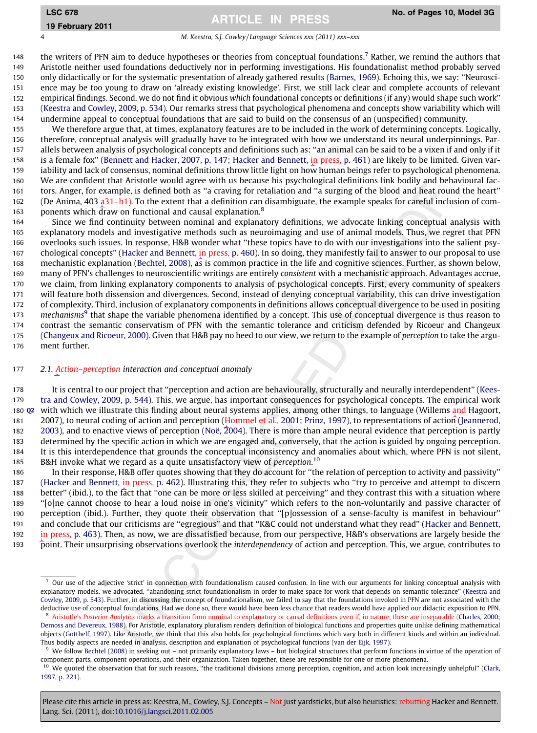19 February 2011

### <span id="page-4-0"></span>LSC 678 No. of Pages 10, Model 3G

M. Keestra, S.J. Cowley / Language Sciences xxx (2011) xxx–xxx

148 the writers of PFN aim to deduce hypotheses or theories from conceptual foundations.<sup>7</sup> Rather, we remind the authors that Aristotle neither used foundations deductively nor in performing investigations. His foundationalist method probably served only didactically or for the systematic presentation of already gathered results [\(Barnes, 1969\)](#page-8-0). Echoing this, we say: ''Neurosci- ence may be too young to draw on 'already existing knowledge'. First, we still lack clear and complete accounts of relevant empirical findings. Second, we do not find it obvious which foundational concepts or definitions (if any) would shape such work'' [\(Keestra and Cowley, 2009, p. 534](#page-8-0)). Our remarks stress that psychological phenomena and concepts show variability which will undermine appeal to conceptual foundations that are said to build on the consensus of an (unspecified) community.

 We therefore argue that, at times, explanatory features are to be included in the work of determining concepts. Logically, therefore, conceptual analysis will gradually have to be integrated with how we understand its neural underpinnings. Par- allels between analysis of psychological concepts and definitions such as: ''an animal can be said to be a vixen if and only if it is a female fox'' [\(Bennett and Hacker, 2007, p. 147; Hacker and Bennett,](#page-8-0) in press, p. 461) are likely to be limited. Given var- iability and lack of consensus, nominal definitions throw little light on how human beings refer to psychological phenomena. We are confident that Aristotle would agree with us because his psychological definitions link bodily and behavioural fac- tors. Anger, for example, is defined both as ''a craving for retaliation and ''a surging of the blood and heat round the heart'' (De Anima, 403 a31–b1). To the extent that a definition can disambiguate, the example speaks for careful inclusion of com-163 ponents which  $\overline{d}$ raw on functional and causal explanation.<sup>8</sup>

 Since we find continuity between nominal and explanatory definitions, we advocate linking conceptual analysis with explanatory models and investigative methods such as neuroimaging and use of animal models. Thus, we regret that PFN overlooks such issues. In response, H&B wonder what ''these topics have to do with our investigations into the salient psy-167 chological concepts" [\(Hacker and Bennett,](#page-8-0) in press, p. 460). In so doing, they manifestly fail to answer to our proposal to use mechanistic explanation [\(Bechtel, 2008](#page-8-0)), as is common practice in the life and cognitive sciences. Further, as shown below, many of PFN's challenges to neuroscientific writings are entirely consistent with a mechanistic approach. Advantages accrue, we claim, from linking explanatory components to analysis of psychological concepts. First, every community of speakers will feature both dissension and divergences. Second, instead of denying conceptual variability, this can drive investigation of complexity. Third, inclusion of explanatory components in definitions allows conceptual divergence to be used in positing 173 mechanisms<sup>9</sup> that shape the variable phenomena identified by a concept. This use of conceptual divergence is thus reason to contrast the semantic conservatism of PFN with the semantic tolerance and criticism defended by Ricoeur and Changeux [\(Changeux and Ricoeur, 2000\)](#page-8-0). Given that H&B pay no heed to our view, we return to the example of *perception* to take the argu-ment further.

#### 177 2.1. Action–perception interaction and conceptual anomaly

 It is central to our project that ''perception and action are behaviourally, structurally and neurally interdependent'' ([Kees-](#page-8-0) [tra and Cowley, 2009, p. 544](#page-8-0)). This, we argue, has important consequences for psychological concepts. The empirical work with which we illustrate this finding about neural systems applies, among other things, to language (Willems and Hagoort, 181 2007), to neural coding of action and perception (Hommel et al., [2001; Prinz, 1997](#page-8-0)), to representations of action ([Jeannerod,](#page-8-0) [2003](#page-8-0)), and to enactive views of perception ([Noë, 2004\)](#page-8-0). There is more than ample neural evidence that perception is partly determined by the specific action in which we are engaged and, conversely, that the action is guided by ongoing perception. It is this interdependence that grounds the conceptual inconsistency and anomalies about which, where PFN is not silent, 185 B&H invoke what we regard as a quite unsatisfactory view of perception.<sup>10</sup> 180 02

 In their response, H&B offer quotes showing that they do account for ''the relation of perception to activity and passivity'' [\(Hacker and Bennett,](#page-8-0) in press, p. 462). Illustrating this, they refer to subjects who "try to perceive and attempt to discern better'' (ibid.), to the fact that ''one can be more or less skilled at perceiving'' and they contrast this with a situation where ''[o]ne cannot choose to hear a loud noise in one's vicinity'' which refers to the non-voluntarily and passive character of perception (ibid.). Further, they quote their observation that ''[p]ossession of a sense-faculty is manifest in behaviour'' and conclude that our criticisms are ''egregious'' and that ''K&C could not understand what they read'' [\(Hacker and Bennett,](#page-8-0) [in press,](#page-8-0) p. 463). Then, as now, we are dissatisfied because, from our perspective, H&B's observations are largely beside the 193 point. Their unsurprising observations overlook the *interdependency* of action and perception. This, we argue, contributes to

 Our use of the adjective 'strict' in connection with foundationalism caused confusion. In line with our arguments for linking conceptual analysis with explanatory models, we advocated, ''abandoning strict foundationalism in order to make space for work that depends on semantic tolerance'' [\(Keestra and](#page-8-0) [Cowley, 2009, p. 543\)](#page-8-0). Further, in discussing the concept of foundationalism, we failed to say that the foundations invoked in PFN are not associated with the deductive use of conceptual foundations. Had we done so, there would have been less chance that readers would have applied our didactic exposition to PFN.

 Aristotle's Posterior Analytics marks a transition from nominal to explanatory or causal definitions even if, in nature, these are inseparable [\(Charles, 2000;](#page-8-0) [Demoss and Devereux, 1988\)](#page-8-0). For Aristotle, explanatory pluralism renders definition of biological functions and properties quite unlike defining mathematical objects ([Gotthelf, 1997](#page-8-0)). Like Aristotle, we think that this also holds for psychological functions which vary both in different kinds and within an individual. Thus bodily aspects are needed in analysis, description and explanation of psychological functions ([van der Eijk, 1997\)](#page-9-0).

We follow [Bechtel \(2008\)](#page-8-0) in seeking out – not primarily explanatory laws – but biological structures that perform functions in virtue of the operation of component parts, component operations, and their organization. Taken together, these are responsible for one or more phenomena.

<sup>&</sup>lt;sup>10</sup> We quoted the observation that for such reasons, "the traditional divisions among perception, cognition, and action look increasingly unhelpful" ([Clark,](#page-8-0) [1997, p. 221](#page-8-0)).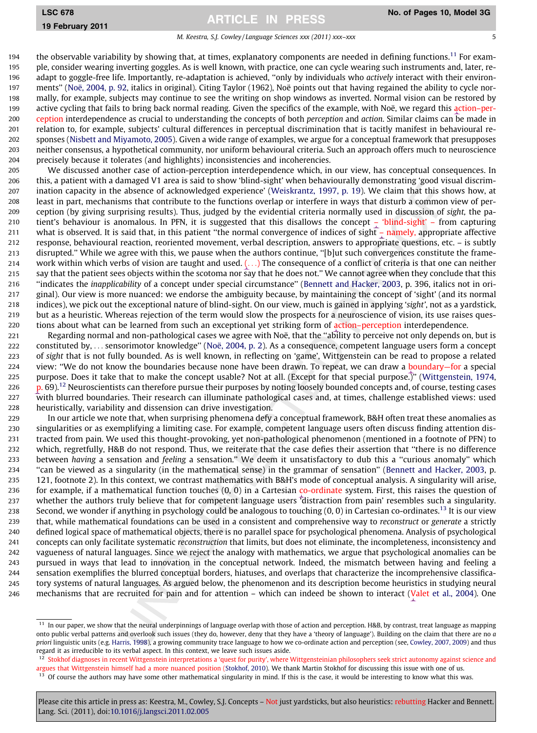M. Keestra, S.J. Cowley / Language Sciences xxx (2011) xxx–xxx 5

194 the observable variability by showing that, at times, explanatory components are needed in defining functions.<sup>11</sup> For exam- ple, consider wearing inverting goggles. As is well known, with practice, one can cycle wearing such instruments and, later, re- adapt to goggle-free life. Importantly, re-adaptation is achieved, ''only by individuals who actively interact with their environ- ments'' ([Noë, 2004, p. 92,](#page-8-0) italics in original). Citing Taylor (1962), Noë points out that having regained the ability to cycle nor- mally, for example, subjects may continue to see the writing on shop windows as inverted. Normal vision can be restored by active cycling that fails to bring back normal reading. Given the specifics of the example, with Noë, we regard this action–per-200 ception interdependence as crucial to understanding the concepts of both *perception* and *action*. Similar claims can be made in relation to, for example, subjects' cultural differences in perceptual discrimination that is tacitly manifest in behavioural re- sponses ([Nisbett and Miyamoto, 2005\)](#page-8-0). Given a wide range of examples, we argue for a conceptual framework that presupposes neither consensus, a hypothetical community, nor uniform behavioural criteria. Such an approach offers much to neuroscience precisely because it tolerates (and highlights) inconsistencies and incoherencies.

- We discussed another case of action-perception interdependence which, in our view, has conceptual consequences. In this, a patient with a damaged V1 area is said to show 'blind-sight' when behaviourally demonstrating 'good visual discrim- ination capacity in the absence of acknowledged experience' ([Weiskrantz, 1997, p. 19\)](#page-9-0). We claim that this shows how, at least in part, mechanisms that contribute to the functions overlap or interfere in ways that disturb a common view of per- ception (by giving surprising results). Thus, judged by the evidential criteria normally used in discussion of sight, the pa- tient's behaviour is anomalous. In PFN, it is suggested that this disallows the concept – 'blind-sight' – from capturing 211 what is observed. It is said that, in this patient "the normal convergence of indices of sight  $-$  namely, appropriate affective response, behavioural reaction, reoriented movement, verbal description, answers to appropriate questions, etc. – is subtly disrupted.'' While we agree with this, we pause when the authors continue, ''[b]ut such convergences constitute the frame-214 work within which verbs of vision are taught and used.  $(\ldots)$  The consequence of a conflict of criteria is that one can neither say that the patient sees objects within the scotoma nor say that he does not.'' We cannot agree when they conclude that this ''indicates the inapplicability of a concept under special circumstance'' [\(Bennett and Hacker, 2003](#page-8-0), p. 396, italics not in ori- ginal). Our view is more nuanced: we endorse the ambiguity because, by maintaining the concept of 'sight' (and its normal indices), we pick out the exceptional nature of blind-sight. On our view, much is gained in applying 'sight', not as a yardstick, but as a heuristic. Whereas rejection of the term would slow the prospects for a neuroscience of vision, its use raises ques-tions about what can be learned from such an exceptional yet striking form of action–perception interdependence.
- Regarding normal and non-pathological cases we agree with Noë, that the ''ability to perceive not only depends on, but is constituted by, ... sensorimotor knowledge'' ([Noë, 2004, p. 2](#page-8-0)). As a consequence, competent language users form a concept of sight that is not fully bounded. As is well known, in reflecting on 'game', Wittgenstein can be read to propose a related 224 view: "We do not know the boundaries because none have been drawn. To repeat, we can draw a boundary—for a special purpose. Does it take that to make the concept usable? Not at all. (Except for that special purpose.)'' [\(Wittgenstein, 1974](#page-9-0), 226 p. 69).<sup>12</sup> Neuroscientists can therefore pursue their purposes by noting loosely bounded concepts and, of course, testing cases with blurred boundaries. Their research can illuminate pathological cases and, at times, challenge established views: used heuristically, variability and dissension can drive investigation.

 In our article we note that, when surprising phenomena defy a conceptual framework, B&H often treat these anomalies as singularities or as exemplifying a limiting case. For example, competent language users often discuss finding attention dis- tracted from pain. We used this thought-provoking, yet non-pathological phenomenon (mentioned in a footnote of PFN) to which, regretfully, H&B do not respond. Thus, we reiterate that the case defies their assertion that ''there is no difference 233 between having a sensation and feeling a sensation." We deem it unsatisfactory to dub this a "curious anomaly" which ''can be viewed as a singularity (in the mathematical sense) in the grammar of sensation'' ([Bennett and Hacker, 2003](#page-8-0), p. 121, footnote 2). In this context, we contrast mathematics with B&H's mode of conceptual analysis. A singularity will arise, 236 for example, if a mathematical function touches  $(0, 0)$  in a Cartesian co-ordinate system. First, this raises the question of whether the authors truly believe that for competent language users 'distraction from pain' resembles such a singularity. 238 Second, we wonder if anything in psychology could be analogous to touching  $(0, 0)$  in Cartesian co-ordinates.<sup>13</sup> It is our view 239 that, while mathematical foundations can be used in a consistent and comprehensive way to reconstruct or generate a strictly defined logical space of mathematical objects, there is no parallel space for psychological phenomena. Analysis of psychological concepts can only facilitate systematic reconstruction that limits, but does not eliminate, the incompleteness, inconsistency and vagueness of natural languages. Since we reject the analogy with mathematics, we argue that psychological anomalies can be pursued in ways that lead to innovation in the conceptual network. Indeed, the mismatch between having and feeling a sensation exemplifies the blurred conceptual borders, hiatuses, and overlaps that characterize the incomprehensive classifica- tory systems of natural languages. As argued below, the phenomenon and its description become heuristics in studying neural 246 mechanisms that are recruited for pain and for attention – which can indeed be shown to interact (Valet [et al., 2004\)](#page-9-0). One

<sup>&</sup>lt;sup>11</sup> In our paper, we show that the neural underpinnings of language overlap with those of action and perception. H&B, by contrast, treat language as mapping onto public verbal patterns and overlook such issues (they do, however, deny that they have a 'theory of language'). Building on the claim that there are no a priori linguistic units (e.g. [Harris, 1998\)](#page-8-0), a growing community trace language to how we co-ordinate action and perception (see, [Cowley, 2007, 2009](#page-8-0)) and thus regard it as irreducible to its verbal aspect. In this context, we leave such issues aside.<br><sup>12</sup> Stokhof diagnoses in regard Minimum is the context, we leave such issues aside.

 Stokhof diagnoses in recent Wittgenstein interpretations a 'quest for purity', where Wittgensteinian philosophers seek strict autonomy against science and argues that Wittgenstein himself had a more nuanced position ([Stokhof, 2010](#page-9-0)). We thank Martin Stokhof for discussing this issue with one of us.

<sup>&</sup>lt;sup>13</sup> Of course the authors may have some other mathematical singularity in mind. If this is the case, it would be interesting to know what this was.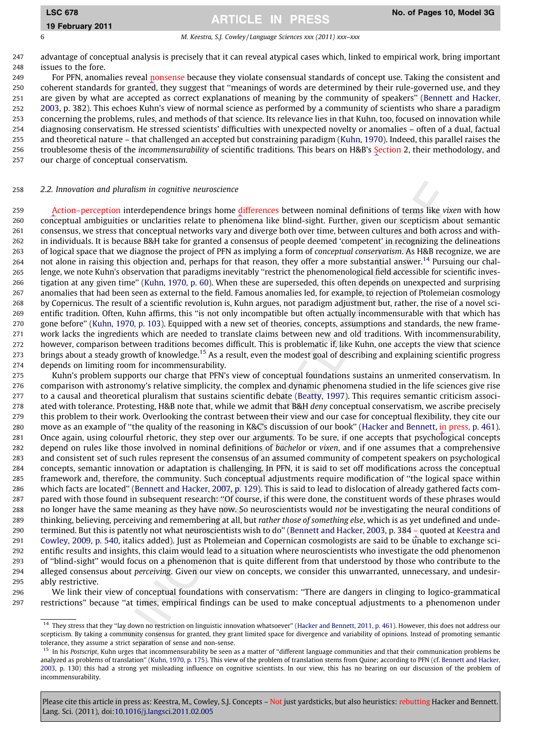M. Keestra, S.J. Cowley / Language Sciences xxx (2011) xxx–xxx

 advantage of conceptual analysis is precisely that it can reveal atypical cases which, linked to empirical work, bring important issues to the fore.

249 For PFN, anomalies reveal nonsense because they violate consensual standards of concept use. Taking the consistent and coherent standards for granted, they suggest that ''meanings of words are determined by their rule-governed use, and they are given by what are accepted as correct explanations of meaning by the community of speakers'' ([Bennett and Hacker,](#page-8-0) [2003](#page-8-0), p. 382). This echoes Kuhn's view of normal science as performed by a community of scientists who share a paradigm concerning the problems, rules, and methods of that science. Its relevance lies in that Kuhn, too, focused on innovation while diagnosing conservatism. He stressed scientists' difficulties with unexpected novelty or anomalies – often of a dual, factual and theoretical nature – that challenged an accepted but constraining paradigm [\(Kuhn, 1970](#page-8-0)). Indeed, this parallel raises the 256 troublesome thesis of the *incommensurability* of scientific traditions. This bears on H&B's Section 2, their methodology, and our charge of conceptual conservatism.

#### 2.2. Innovation and pluralism in cognitive neuroscience

259 Action–perception interdependence brings home differences between nominal definitions of terms like vixen with how conceptual ambiguities or unclarities relate to phenomena like blind-sight. Further, given our scepticism about semantic consensus, we stress that conceptual networks vary and diverge both over time, between cultures and both across and with- in individuals. It is because B&H take for granted a consensus of people deemed 'competent' in recognizing the delineations of logical space that we diagnose the project of PFN as implying a form of conceptual conservatism. As H&B recognize, we are 264 not alone in raising this objection and, perhaps for that reason, they offer a more substantial answer.<sup>14</sup> Pursuing our chal- lenge, we note Kuhn's observation that paradigms inevitably ''restrict the phenomenological field accessible for scientific inves- tigation at any given time'' [\(Kuhn, 1970, p. 60\)](#page-8-0). When these are superseded, this often depends on unexpected and surprising anomalies that had been seen as external to the field. Famous anomalies led, for example, to rejection of Ptolemeian cosmology by Copernicus. The result of a scientific revolution is, Kuhn argues, not paradigm adjustment but, rather, the rise of a novel sci- entific tradition. Often, Kuhn affirms, this ''is not only incompatible but often actually incommensurable with that which has gone before'' ([Kuhn, 1970, p. 103](#page-8-0)). Equipped with a new set of theories, concepts, assumptions and standards, the new frame- work lacks the ingredients which are needed to translate claims between new and old traditions. With incommensurability, however, comparison between traditions becomes difficult. This is problematic if, like Kuhn, one accepts the view that science 273 brings about a steady growth of knowledge.<sup>15</sup> As a result, even the modest goal of describing and explaining scientific progress depends on limiting room for incommensurability.

 Kuhn's problem supports our charge that PFN's view of conceptual foundations sustains an unmerited conservatism. In comparison with astronomy's relative simplicity, the complex and dynamic phenomena studied in the life sciences give rise to a causal and theoretical pluralism that sustains scientific debate ([Beatty, 1997\)](#page-8-0). This requires semantic criticism associ- ated with tolerance. Protesting, H&B note that, while we admit that B&H deny conceptual conservatism, we ascribe precisely this problem to their work. Overlooking the contrast between their view and our case for conceptual flexibility, they cite our 280 move as an example of "the quality of the reasoning in K&C's discussion of our book" [\(Hacker and Bennett,](#page-8-0) in press, p. 461). Once again, using colourful rhetoric, they step over our arguments. To be sure, if one accepts that psychological concepts depend on rules like those involved in nominal definitions of bachelor or vixen, and if one assumes that a comprehensive and consistent set of such rules represent the consensus of an assumed community of competent speakers on psychological concepts, semantic innovation or adaptation is challenging. In PFN, it is said to set off modifications across the conceptual framework and, therefore, the community. Such conceptual adjustments require modification of ''the logical space within which facts are located'' ([Bennett and Hacker, 2007, p. 129](#page-8-0)). This is said to lead to dislocation of already gathered facts com- pared with those found in subsequent research: ''Of course, if this were done, the constituent words of these phrases would no longer have the same meaning as they have now. So neuroscientists would not be investigating the neural conditions of 289 thinking, believing, perceiving and remembering at all, but rather those of something else, which is as yet undefined and unde- termined. But this is patently not what neuroscientists wish to do'' [\(Bennett and Hacker, 2003,](#page-8-0) p. 384 – quoted at [Keestra and](#page-8-0) [Cowley, 2009, p. 540,](#page-8-0) italics added). Just as Ptolemeian and Copernican cosmologists are said to be unable to exchange sci- entific results and insights, this claim would lead to a situation where neuroscientists who investigate the odd phenomenon of ''blind-sight'' would focus on a phenomenon that is quite different from that understood by those who contribute to the 294 alleged consensus about *perceiving*. Given our view on concepts, we consider this unwarranted, unnecessary, and undesir-ably restrictive.

 We link their view of conceptual foundations with conservatism: ''There are dangers in clinging to logico-grammatical restrictions'' because ''at times, empirical findings can be used to make conceptual adjustments to a phenomenon under

<sup>&</sup>lt;sup>14</sup> They stress that they "lay down no restriction on linguistic innovation whatsoever" ([Hacker and Bennett, 2011, p. 461\)](#page-8-0). However, this does not address our scepticism. By taking a community consensus for granted, they grant limited space for divergence and variability of opinions. Instead of promoting semantic tolerance, they assume a strict separation of sense and non-sense.

<sup>&</sup>lt;sup>15</sup> In his Postscript, Kuhn urges that incommensurability be seen as a matter of "different language communities and that their communication problems be analyzed as problems of translation'' ([Kuhn, 1970, p. 175\)](#page-8-0). This view of the problem of translation stems from Quine; according to PFN (cf. [Bennett and Hacker,](#page-8-0) [2003,](#page-8-0) p. 130) this had a strong yet misleading influence on cognitive scientists. In our view, this has no bearing on our discussion of the problem of incommensurability.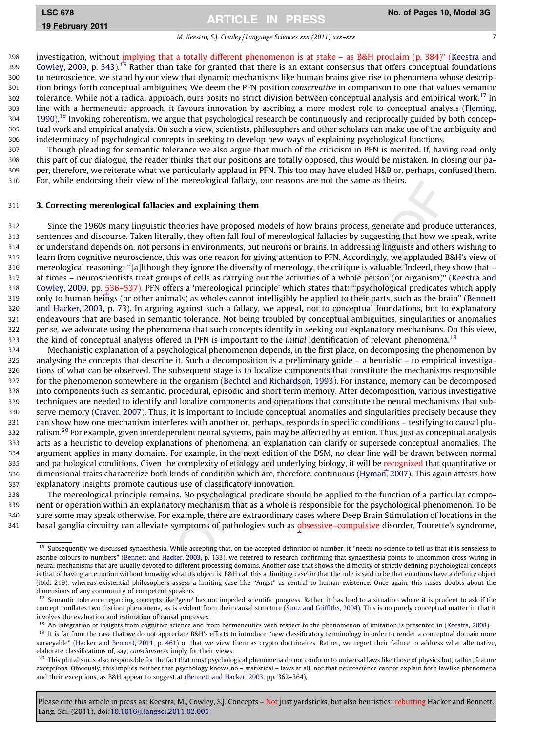M. Keestra, S.J. Cowley / Language Sciences xxx (2011) xxx–xxx 7

 investigation, without implying that a totally different phenomenon is at stake – as B&H proclaim (p. 384)'' [\(Keestra and](#page-8-0) [Cowley, 2009, p. 543\)](#page-8-0).<sup>16</sup> Rather than take for granted that there is an extant consensus that offers conceptual foundations to neuroscience, we stand by our view that dynamic mechanisms like human brains give rise to phenomena whose descrip- tion brings forth conceptual ambiguities. We deem the PFN position conservative in comparison to one that values semantic 302 tolerance. While not a radical approach, ours posits no strict division between conceptual analysis and empirical work.<sup>17</sup> In line with a hermeneutic approach, it favours innovation by ascribing a more modest role to conceptual analysis ([Fleming,](#page-8-0) [1990](#page-8-0)).<sup>18</sup> Invoking coherentism, we argue that psychological research be continuously and reciprocally guided by both concep- tual work and empirical analysis. On such a view, scientists, philosophers and other scholars can make use of the ambiguity and indeterminacy of psychological concepts in seeking to develop new ways of explaining psychological functions.

 Though pleading for semantic tolerance we also argue that much of the criticism in PFN is merited. If, having read only this part of our dialogue, the reader thinks that our positions are totally opposed, this would be mistaken. In closing our pa- per, therefore, we reiterate what we particularly applaud in PFN. This too may have eluded H&B or, perhaps, confused them. For, while endorsing their view of the mereological fallacy, our reasons are not the same as theirs.

#### 3. Correcting mereological fallacies and explaining them

 Since the 1960s many linguistic theories have proposed models of how brains process, generate and produce utterances, sentences and discourse. Taken literally, they often fall foul of mereological fallacies by suggesting that how we speak, write or understand depends on, not persons in environments, but neurons or brains. In addressing linguists and others wishing to learn from cognitive neuroscience, this was one reason for giving attention to PFN. Accordingly, we applauded B&H's view of mereological reasoning: ''[a]lthough they ignore the diversity of mereology, the critique is valuable. Indeed, they show that – at times – neuroscientists treat groups of cells as carrying out the activities of a whole person (or organism)'' [\(Keestra and](#page-8-0) [Cowley, 2009,](#page-8-0) pp. 536–537). PFN offers a 'mereological principle' which states that: ''psychological predicates which apply only to human beings (or other animals) as wholes cannot intelligibly be applied to their parts, such as the brain'' ([Bennett](#page-8-0) [and Hacker, 2003](#page-8-0), p. 73). In arguing against such a fallacy, we appeal, not to conceptual foundations, but to explanatory endeavours that are based in semantic tolerance. Not being troubled by conceptual ambiguities, singularities or anomalies per se, we advocate using the phenomena that such concepts identify in seeking out explanatory mechanisms. On this view, 323 the kind of conceptual analysis offered in PFN is important to the *initial* identification of relevant phenomena.<sup>19</sup>

 Mechanistic explanation of a psychological phenomenon depends, in the first place, on decomposing the phenomenon by analysing the concepts that describe it. Such a decomposition is a preliminary guide – a heuristic – to empirical investiga- tions of what can be observed. The subsequent stage is to localize components that constitute the mechanisms responsible for the phenomenon somewhere in the organism ([Bechtel and Richardson, 1993](#page-8-0)). For instance, memory can be decomposed into components such as semantic, procedural, episodic and short term memory. After decomposition, various investigative techniques are needed to identify and localize components and operations that constitute the neural mechanisms that sub- serve memory [\(Craver, 2007\)](#page-8-0). Thus, it is important to include conceptual anomalies and singularities precisely because they can show how one mechanism interferes with another or, perhaps, responds in specific conditions – testifying to causal plu-332 ralism.<sup>20</sup> For example, given interdependent neural systems, pain may be affected by attention. Thus, just as conceptual analysis acts as a heuristic to develop explanations of phenomena, an explanation can clarify or supersede conceptual anomalies. The argument applies in many domains. For example, in the next edition of the DSM, no clear line will be drawn between normal 335 and pathological conditions. Given the complexity of etiology and underlying biology, it will be recognized that quantitative or dimensional traits characterize both kinds of condition which are, therefore, continuous ([Hyman, 2007\)](#page-8-0). This again attests how explanatory insights promote cautious use of classificatory innovation.

 The mereological principle remains. No psychological predicate should be applied to the function of a particular compo- nent or operation within an explanatory mechanism that as a whole is responsible for the psychological phenomenon. To be sure some may speak otherwise. For example, there are extraordinary cases where Deep Brain Stimulation of locations in the basal ganglia circuitry can alleviate symptoms of pathologies such as obsessive–compulsive disorder, Tourette's syndrome,

<sup>&</sup>lt;sup>16</sup> Subsequently we discussed synaesthesia. While accepting that, on the accepted definition of number, it "needs no science to tell us that it is senseless to ascribe colours to numbers'' ([Bennett and Hacker, 2003](#page-8-0), p. 133), we referred to research confirming that synaesthesia points to uncommon cross-wiring in neural mechanisms that are usually devoted to different processing domains. Another case that shows the difficulty of strictly defining psychological concepts is that of having an emotion without knowing what its object is. B&H call this a 'limiting case' in that the rule is said to be that emotions have a definite object (ibid. 219), whereas existential philosophers assess a limiting case like ''Angst'' as central to human existence. Once again, this raises doubts about the dimensions of any community of competent speakers.

<sup>&</sup>lt;sup>17</sup> Semantic tolerance regarding concepts like 'gene' has not impeded scientific progress. Rather, it has lead to a situation where it is prudent to ask if the concept conflates two distinct phenomena, as is evident from their causal structure [\(Stotz and Griffiths, 2004\)](#page-9-0). This is no purely conceptual matter in that it involves the evaluation and estimation of causal processes.

<sup>&</sup>lt;sup>18</sup> An integration of insights from cognitive science and from hermeneutics with respect to the phenomenon of imitation is presented in [\(Keestra, 2008\)](#page-8-0).

<sup>&</sup>lt;sup>19</sup> It is far from the case that we do not appreciate B&H's efforts to introduce "new classificatory terminology in order to render a conceptual domain more surveyable'' ([Hacker and Bennett, 2011, p. 461](#page-8-0)) or that we view them as crypto doctrinaires. Rather, we regret their failure to address what alternative, elaborate classifications of, say, consciousness imply for their views.

 $^{20}$  This pluralism is also responsible for the fact that most psychological phenomena do not conform to universal laws like those of physics but, rather, feature exceptions. Obviously, this implies neither that psychology knows no – statistical – laws at all, nor that neuroscience cannot explain both lawlike phenomena and their exceptions, as B&H appear to suggest at ([Bennett and Hacker, 2003,](#page-8-0) pp. 362–364),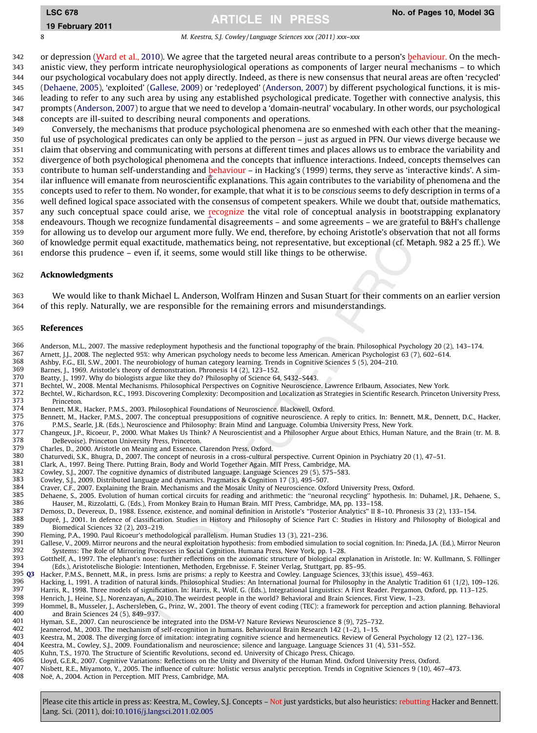19 February 2011

# <span id="page-8-0"></span>LSC 678 No. of Pages 10, Model 3G

8 M. Keestra, S.J. Cowley / Language Sciences xxx (2011) xxx-xxx

342 or depression ([Ward et al.,](#page-9-0) 2010). We agree that the targeted neural areas contribute to a person's behaviour. On the mech- anistic view, they perform intricate neurophysiological operations as components of larger neural mechanisms – to which our psychological vocabulary does not apply directly. Indeed, as there is new consensus that neural areas are often 'recycled' (Dehaene, 2005), 'exploited' (Gallese, 2009) or 'redeployed' (Anderson, 2007) by different psychological functions, it is mis- leading to refer to any such area by using any established psychological predicate. Together with connective analysis, this prompts (Anderson, 2007) to argue that we need to develop a 'domain-neutral' vocabulary. In other words, our psychological concepts are ill-suited to describing neural components and operations.

 Conversely, the mechanisms that produce psychological phenomena are so enmeshed with each other that the meaning- ful use of psychological predicates can only be applied to the person – just as argued in PFN. Our views diverge because we claim that observing and communicating with persons at different times and places allows us to embrace the variability and divergence of both psychological phenomena and the concepts that influence interactions. Indeed, concepts themselves can 353 contribute to human self-understanding and behaviour – in Hacking's (1999) terms, they serve as 'interactive kinds'. A sim- ilar influence will emanate from neuroscientific explanations. This again contributes to the variability of phenomena and the concepts used to refer to them. No wonder, for example, that what it is to be conscious seems to defy description in terms of a well defined logical space associated with the consensus of competent speakers. While we doubt that, outside mathematics, 357 any such conceptual space could arise, we recognize the vital role of conceptual analysis in bootstrapping explanatory endeavours. Though we recognize fundamental disagreements – and some agreements – we are grateful to B&H's challenge for allowing us to develop our argument more fully. We end, therefore, by echoing Aristotle's observation that not all forms of knowledge permit equal exactitude, mathematics being, not representative, but exceptional (cf. Metaph. 982 a 25 ff.). We endorse this prudence – even if, it seems, some would still like things to be otherwise.

#### 362 Acknowledgments

363 We would like to thank Michael L. Anderson, Wolfram Hinzen and Susan Stuart for their comments on an earlier version 364 of this reply. Naturally, we are responsible for the remaining errors and misunderstandings.

#### 365 References

- 366 Anderson, M.L., 2007. The massive redeployment hypothesis and the functional topography of the brain. Philosophical Psychology 20 (2), 143–174.<br>367 Arnett 11, 2008. The neglected 95%: why American psychology needs to b
- 367 Arnett, J.J., 2008. The neglected 95%: why American psychology needs to become less American. American Psychologist 63 (7), 602–614.
- 368 Ashby, F.G., Ell, S.W., 2001. The neurobiology of human category learning. Trends in Cognitive Sciences 5 (5), 204–210.
- 369 Barnes, J., 1969. Aristotle's theory of demonstration. Phronesis 14 (2), 123–152.
- 370 Beatty, J., 1997. Why do biologists argue like they do? Philosophy of Science 64, S432–S443.<br>371 Bechtel W. 2008 Montal Mechanisms, Philosophical Perspectives on Corpitive Neuroscience
- 371 Bechtel, W., 2008. Mental Mechanisms. Philosophical Perspectives on Cognitive Neuroscience. Lawrence Erlbaum, Associates, New York.<br>372 Bechtel W. Richardson R.C. 1993 Discovering Complexity: Decomposition and Localiza
- 372 Bechtel, W., Richardson, R.C., 1993. Discovering Complexity: Decomposition and Localization as Strategies in Scientific Research. Princeton University Press,<br>373 Princeton
- 
- 373 Princeton.<br>374 Pennett M P 374 Bennett, M.R., Hacker, P.M.S., 2003. Philosophical Foundations of Neuroscience. Blackwell, Oxford.
- 375 Bennett, M., Hacker, P.M.S., 2007. The conceptual presuppositions of cognitive neuroscience. A reply to critics. In: Bennett, M.R., Dennett, D.C., Hacker, <br>376 PMS Searle J.R. (Eds.) Neuroscience and Philosophy: Brain 376 P.M.S., Searle, J.R. (Eds.), Neuroscience and Philosophy: Brain Mind and Language. Columbia University Press, New York.
- 377 Changeux, J.P., Ricoeur, P., 2000. What Makes Us Think? A Neuroscientist and a Philosopher Argue about Ethics, Human Nature, and the Brain (tr. M. B.<br>378 DeBevoise) Princeton University Press Princeton 378 DeBevoise). Princeton University Press, Princeton.<br>379 Charles D. 2000 Aristotle on Meaning and Essence C
- 379 Charles, D., 2000. Aristotle on Meaning and Essence. Clarendon Press, Oxford.<br>380 Chaturyedi S.K. Bhugra, D. 2007. The concent of neurosis in a cross-cultural
- 380 Chaturvedi, S.K., Bhugra, D., 2007. The concept of neurosis in a cross-cultural perspective. Current Opinion in Psychiatry 20 (1), 47–51.<br>381 Clark A. 1997 Being There Putting Brain Body and World Together Again MIT Pr
- 381 Clark, A., 1997. Being There. Putting Brain, Body and World Together Again. MIT Press, Cambridge, MA.
- 382 Cowley, S.J., 2007. The cognitive dynamics of distributed language. Language Sciences 29 (5), 575–583.
- 383 Cowley, S.J., 2009. Distributed language and dynamics. Pragmatics & Cognition 17 (3), 495–507.
- 384 Craver, C.F., 2007. Explaining the Brain. Mechanisms and the Mosaic Unity of Neuroscience. Oxford University Press, Oxford.
- 385 Dehaene, S., 2005. Evolution of human cortical circuits for reading and arithmetic: the "neuronal recycling" hypothesis. In: Duhamel, J.R., Dehaene, S., 386 Haene, S., Haene, S., Behaene, S., Behaene, S., Behaene, S., 386 Hauser, M., Rizzolatti, G. (Eds.), From Monkey Brain to Human Brain. MIT Press, Cambridge, MA, pp. 133–158.
- 387 Demoss, D., Devereux, D., 1988. Essence, existence, and nominal definition in Aristotle's ''Posterior Analytics'' II 8–10. Phronesis 33 (2), 133–154.
- 388 Dupré, J., 2001. In defence of classification. Studies in History and Philosophy of Science Part C: Studies in History and Philosophy of Biological and<br>389 Biomedical Sciences 32 (2) 203-219 389 Biomedical Sciences 32 (2), 203–219.
- 390 Fleming, P.A., 1990. Paul Ricoeur's methodological parallelism. Human Studies 13 (3), 221–236.
- 391 Gallese, V., 2009. Mirror neurons and the neural exploitation hypothesis: from embodied simulation to social cognition. In: Pineda, J.A. (Ed.), Mirror Neuron<br>392 Systems: The Role of Mirroring Processes in Social Cogni 392 Systems: The Role of Mirroring Processes in Social Cognition. Humana Press, New York, pp. 1–28.
- 393 Gotthelf, A., 1997. The elephant's nose: further reflections on the axiomatic structure of biological explanation in Aristotle. In: W. Kullmann, S. Föllinger<br>394 (Eds.) Aristotelische Biologie: Intentionen Methoden Erg 394 (Eds.), Aristotelische Biologie: Intentionen, Methoden, Ergebnisse. F. Steiner Verlag, Stuttgart, pp. 85–95.

395 Q3 Hacker, P.M.S., Bennett, M.R., in press. Isms are prisms: a reply to Keestra and Cowley. Language Sciences, 33(this issue), 459–463.<br>396 Hacking J. 1991, A tradition of natural kinds. Philosophical Studies: An Inter 395 [Q3](#page-0-0)

- 396 Hacking, I., 1991. A tradition of natural kinds. Philosophical Studies: An International Journal for Philosophy in the Analytic Tradition 61 (1/2), 109–126.<br>397 Harris. R., 1998. Three models of signification. In: Harr 397 Harris, R., 1998. Three models of signification. In: Harris, R., Wolf, G. (Eds.), Integrational Linguistics: A First Reader. Pergamon, Oxford, pp. 113–125.<br>398 Henrich J. Heine S.L. Norenzavan A. 2010. The weirdest neo
- 398 Henrich, J., Heine, S.J., Norenzayan, A., 2010. The weirdest people in the world? Behavioral and Brain Sciences, First View, 1–23.<br>399 Hommel B. Musseler J. Aschersleben G. Prinz W. 2001. The theory of event coding (T
- 399 Hommel, B., Musseler, J., Aschersleben, G., Prinz, W., 2001. The theory of event coding (TEC): a framework for perception and action planning. Behavioral 400 and Brain Sciences 24 (5). 849–937. 400 and Brain Sciences 24 (5), 849–937.<br>401 Hyman, S.E., 2007. Can neuroscience be
- 401 Hyman, S.E., 2007. Can neuroscience be integrated into the DSM-V? Nature Reviews Neuroscience 8 (9), 725–732.
- 402 Jeannerod, M., 2003. The mechanism of self-recognition in humans. Behavioural Brain Research 142 (1–2), 1–15.
- 403 Keestra, M., 2008. The diverging force of imitation: integrating cognitive science and hermeneutics. Review of General Psychology 12 (2), 127–136.<br>404 Keestra. M., Cowley. S.l., 2009. Foundationalism and neuroscience:
- 404 Keestra, M., Cowley, S.J., 2009. Foundationalism and neuroscience; silence and language. Language Sciences 31 (4), 531–552.<br>405 Kuhn T.S. 1970. The Structure of Scientific Revolutions, second ed. University of Chicago
- 405 Kuhn, T.S., 1970. The Structure of Scientific Revolutions, second ed. University of Chicago Press, Chicago.
- 406 Lloyd, G.E.R., 2007. Cognitive Variations: Reflections on the Unity and Diversity of the Human Mind. Oxford University Press, Oxford.
- 407 Nisbett, R.E., Miyamoto, Y., 2005. The influence of culture: holistic versus analytic perception. Trends in Cognitive Sciences 9 (10), 467–473. Noë, A., 2004. Action in Perception. MIT Press, Cambridge, MA.